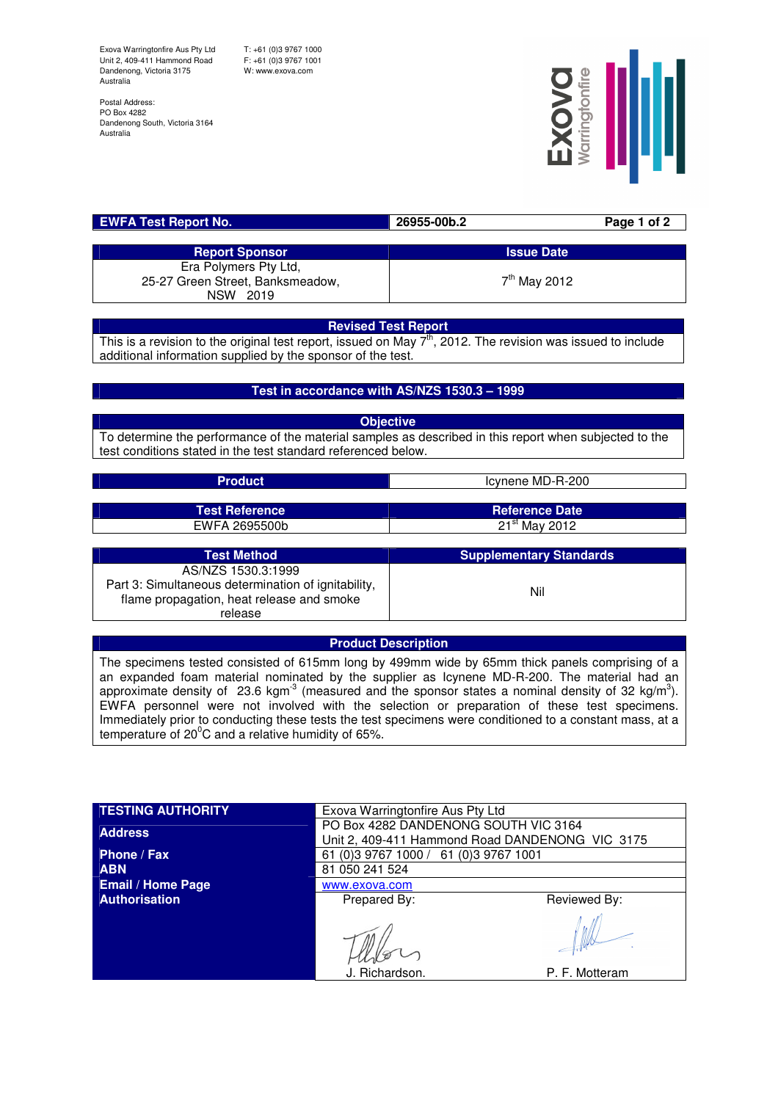Exova Warringtonfire Aus Pty Ltd Unit 2, 409-411 Hammond Road Dandenong, Victoria 3175 Australia

T: +61 (0)3 9767 1000 F: +61 (0)3 9767 1001 W: www.exova.com

Postal Address: PO Box 4282 Dandenong South, Victoria 3164 Australia



| <b>EWFA Test Report No.</b>      | 26955-00b.2              | Page 1 of 2 |
|----------------------------------|--------------------------|-------------|
|                                  |                          |             |
| <b>Report Sponsor</b>            | <b>Issue Date</b>        |             |
| Era Polymers Pty Ltd.            |                          |             |
| 25-27 Green Street, Banksmeadow, | 7 <sup>th</sup> May 2012 |             |
| NSW 2019                         |                          |             |

## **Revised Test Report**

This is a revision to the original test report, issued on May  $7<sup>th</sup>$ , 2012. The revision was issued to include additional information supplied by the sponsor of the test.

## **Test in accordance with AS/NZS 1530.3 – 1999**

**Objective** To determine the performance of the material samples as described in this report when subjected to the test conditions stated in the test standard referenced below.

| <b>Product</b>        | Icynene MD-R-200               |  |
|-----------------------|--------------------------------|--|
|                       |                                |  |
| <b>Test Reference</b> | <b>Reference Date</b>          |  |
| EWFA 2695500b         | $21st$ May 2012                |  |
|                       |                                |  |
| <b>Test Method</b>    | <b>Supplementary Standards</b> |  |
| AS/NZS 1530.3:1999    |                                |  |

AS/NZS 1530.3:1999 Part 3: Simultaneous determination of ignitability, flame propagation, heat release and smoke release Nil

## **Product Description**

The specimens tested consisted of 615mm long by 499mm wide by 65mm thick panels comprising of a an expanded foam material nominated by the supplier as Icynene MD-R-200. The material had an approximate density of 23.6 kgm<sup>3</sup> (measured and the sponsor states a nominal density of 32 kg/m<sup>3</sup>). EWFA personnel were not involved with the selection or preparation of these test specimens. Immediately prior to conducting these tests the test specimens were conditioned to a constant mass, at a temperature of  $20^{\circ}$ C and a relative humidity of 65%.

| <b>TESTING AUTHORITY</b> | Exova Warringtonfire Aus Pty Ltd                                                        |                |  |
|--------------------------|-----------------------------------------------------------------------------------------|----------------|--|
| <b>Address</b>           | PO Box 4282 DANDENONG SOUTH VIC 3164<br>Unit 2, 409-411 Hammond Road DANDENONG VIC 3175 |                |  |
| Phone / Fax              | 61 (0) 3 9767 1000 / 61 (0) 3 9767 1001                                                 |                |  |
| <b>ABN</b>               | 81 050 241 524<br>www.exova.com                                                         |                |  |
| <b>Email / Home Page</b> |                                                                                         |                |  |
| <b>Authorisation</b>     | Prepared By:                                                                            | Reviewed By:   |  |
|                          |                                                                                         |                |  |
|                          | J. Richardson.                                                                          | P. F. Motteram |  |